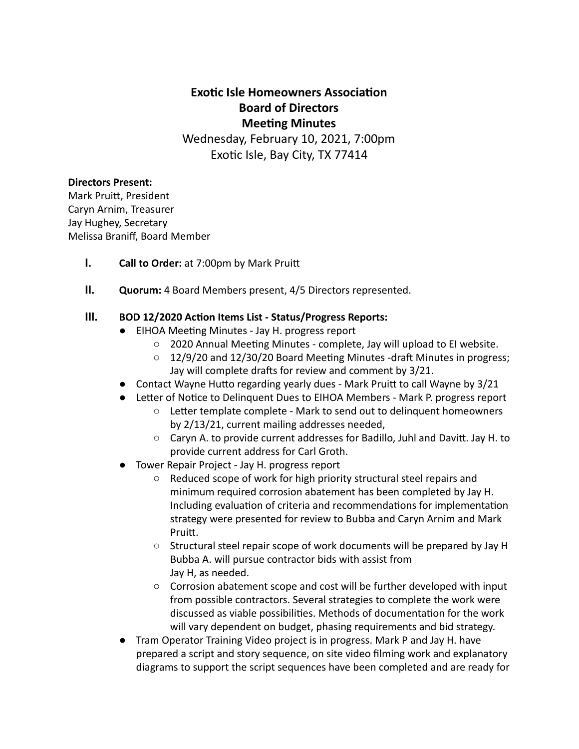# **Exotic Isle Homeowners Association Board of Directors Meeting Minutes**

Wednesday, February 10, 2021, 7:00pm Exotic Isle, Bay City, TX 77414

#### **Directors Present:**

Mark Pruitt, President Caryn Arnim, Treasurer Jay Hughey, Secretary Melissa Braniff, Board Member

- **I. Call to Order:** at 7:00pm by Mark Pruitt
- **II. Quorum:** 4 Board Members present, 4/5 Directors represented.

#### **III. BOD 12/2020 Action Items List - Status/Progress Reports:**

- EIHOA Meeting Minutes Jay H. progress report
	- 2020 Annual Meeting Minutes complete, Jay will upload to EI website.
	- $\circ$  12/9/20 and 12/30/20 Board Meeting Minutes -draft Minutes in progress; Jay will complete drafts for review and comment by 3/21.
- Contact Wayne Hutto regarding yearly dues Mark Pruitt to call Wayne by 3/21
- Letter of Notice to Delinquent Dues to EIHOA Members Mark P. progress report
	- Letter template complete Mark to send out to delinquent homeowners by 2/13/21, current mailing addresses needed,
	- $\circ$  Caryn A. to provide current addresses for Badillo, Juhl and Davitt. Jay H. to provide current address for Carl Groth.
- Tower Repair Project Jay H. progress report
	- Reduced scope of work for high priority structural steel repairs and minimum required corrosion abatement has been completed by Jay H. Including evaluation of criteria and recommendations for implementation strategy were presented for review to Bubba and Caryn Arnim and Mark Pruitt.
	- Structural steel repair scope of work documents will be prepared by Jay H Bubba A. will pursue contractor bids with assist from Jay H, as needed.
	- $\circ$  Corrosion abatement scope and cost will be further developed with input from possible contractors. Several strategies to complete the work were discussed as viable possibilities. Methods of documentation for the work will vary dependent on budget, phasing requirements and bid strategy.
- Tram Operator Training Video project is in progress. Mark P and Jay H. have prepared a script and story sequence, on site video filming work and explanatory diagrams to support the script sequences have been completed and are ready for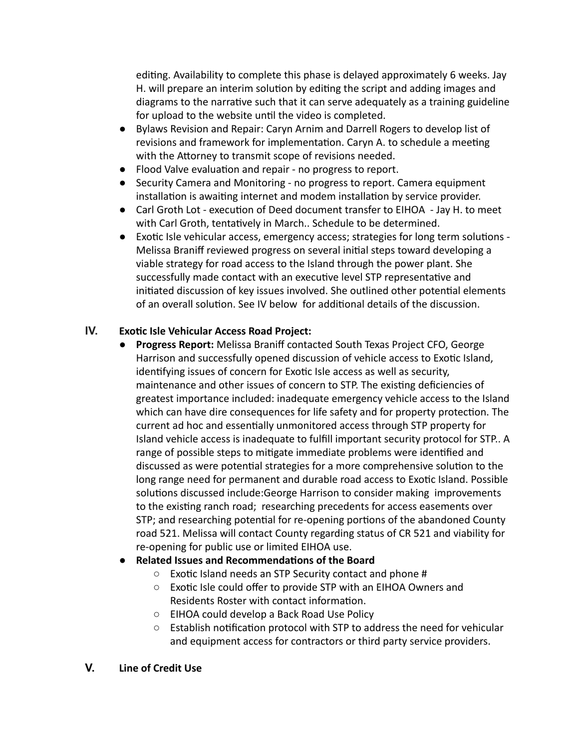editing. Availability to complete this phase is delayed approximately 6 weeks. Jay H. will prepare an interim solution by editing the script and adding images and diagrams to the narrative such that it can serve adequately as a training guideline for upload to the website until the video is completed.

- Bylaws Revision and Repair: Caryn Arnim and Darrell Rogers to develop list of revisions and framework for implementation. Caryn A. to schedule a meeting with the Attorney to transmit scope of revisions needed.
- Flood Valve evaluation and repair no progress to report.
- Security Camera and Monitoring no progress to report. Camera equipment installation is awaiting internet and modem installation by service provider.
- Carl Groth Lot execution of Deed document transfer to EIHOA Jay H. to meet with Carl Groth, tentatively in March.. Schedule to be determined.
- Exotic Isle vehicular access, emergency access; strategies for long term solutions -Melissa Braniff reviewed progress on several initial steps toward developing a viable strategy for road access to the Island through the power plant. She successfully made contact with an executive level STP representative and initiated discussion of key issues involved. She outlined other potential elements of an overall solution. See IV below for additional details of the discussion.

### **IV. Exotic Isle Vehicular Access Road Project:**

● **Progress Report:** Melissa Braniff contacted South Texas Project CFO, George Harrison and successfully opened discussion of vehicle access to Exotic Island, identifying issues of concern for Exotic Isle access as well as security, maintenance and other issues of concern to STP. The existing deficiencies of greatest importance included: inadequate emergency vehicle access to the Island which can have dire consequences for life safety and for property protection. The current ad hoc and essentially unmonitored access through STP property for Island vehicle access is inadequate to fulfill important security protocol for STP.. A range of possible steps to mitigate immediate problems were identified and discussed as were potential strategies for a more comprehensive solution to the long range need for permanent and durable road access to Exotic Island. Possible solutions discussed include:George Harrison to consider making improvements to the existing ranch road; researching precedents for access easements over STP; and researching potential for re-opening portions of the abandoned County road 521. Melissa will contact County regarding status of CR 521 and viability for re-opening for public use or limited EIHOA use.

### **Related Issues and Recommendations of the Board**

- Exotic Island needs an STP Security contact and phone #
- Exotic Isle could offer to provide STP with an EIHOA Owners and Residents Roster with contact information.
- EIHOA could develop a Back Road Use Policy
- $\circ$  Establish notification protocol with STP to address the need for vehicular and equipment access for contractors or third party service providers.

### **V. Line of Credit Use**